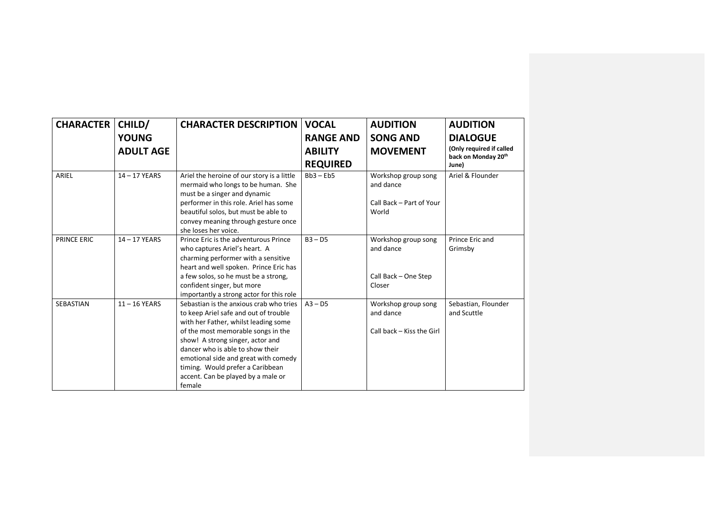| <b>CHARACTER</b><br>CHILD/ |                  | <b>CHARACTER DESCRIPTION</b>                                                                                                                                                                                                                                                                                                                                       | <b>VOCAL</b>     | <b>AUDITION</b>                                               | <b>AUDITION</b>                                                    |  |
|----------------------------|------------------|--------------------------------------------------------------------------------------------------------------------------------------------------------------------------------------------------------------------------------------------------------------------------------------------------------------------------------------------------------------------|------------------|---------------------------------------------------------------|--------------------------------------------------------------------|--|
|                            | <b>YOUNG</b>     |                                                                                                                                                                                                                                                                                                                                                                    | <b>RANGE AND</b> | <b>SONG AND</b>                                               | <b>DIALOGUE</b><br>(Only required if called<br>back on Monday 20th |  |
|                            | <b>ADULT AGE</b> |                                                                                                                                                                                                                                                                                                                                                                    | <b>ABILITY</b>   | <b>MOVEMENT</b>                                               |                                                                    |  |
|                            |                  |                                                                                                                                                                                                                                                                                                                                                                    | <b>REQUIRED</b>  |                                                               | June)                                                              |  |
| ARIEL                      | $14 - 17$ YEARS  | Ariel the heroine of our story is a little<br>mermaid who longs to be human. She<br>must be a singer and dynamic                                                                                                                                                                                                                                                   | $Bb3 - Eb5$      | Workshop group song<br>and dance                              | Ariel & Flounder                                                   |  |
|                            |                  | performer in this role. Ariel has some<br>beautiful solos, but must be able to<br>convey meaning through gesture once<br>she loses her voice.                                                                                                                                                                                                                      |                  | Call Back - Part of Your<br>World                             |                                                                    |  |
| <b>PRINCE ERIC</b>         | 14-17 YEARS      | Prince Eric is the adventurous Prince<br>who captures Ariel's heart. A<br>charming performer with a sensitive<br>heart and well spoken. Prince Eric has                                                                                                                                                                                                            | $B3 - D5$        | Workshop group song<br>and dance                              | Prince Eric and<br>Grimsby                                         |  |
|                            |                  | a few solos, so he must be a strong,<br>confident singer, but more<br>importantly a strong actor for this role                                                                                                                                                                                                                                                     |                  | Call Back - One Step<br>Closer                                |                                                                    |  |
| SEBASTIAN                  | $11 - 16$ YEARS  | Sebastian is the anxious crab who tries<br>to keep Ariel safe and out of trouble<br>with her Father, whilst leading some<br>of the most memorable songs in the<br>show! A strong singer, actor and<br>dancer who is able to show their<br>emotional side and great with comedy<br>timing. Would prefer a Caribbean<br>accent. Can be played by a male or<br>female | $A3 - D5$        | Workshop group song<br>and dance<br>Call back - Kiss the Girl | Sebastian, Flounder<br>and Scuttle                                 |  |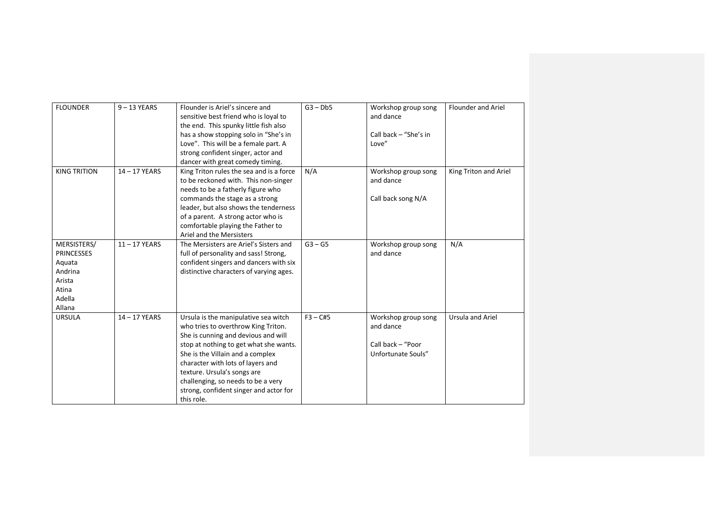| <b>FLOUNDER</b>                                                                              | $9 - 13$ YEARS  | Flounder is Ariel's sincere and<br>sensitive best friend who is loyal to<br>the end. This spunky little fish also<br>has a show stopping solo in "She's in<br>Love". This will be a female part. A<br>strong confident singer, actor and<br>dancer with great comedy timing.                                                                                       | $G3 - Db5$ | Workshop group song<br>and dance<br>Call back - "She's in<br>Love"          | Flounder and Ariel      |
|----------------------------------------------------------------------------------------------|-----------------|--------------------------------------------------------------------------------------------------------------------------------------------------------------------------------------------------------------------------------------------------------------------------------------------------------------------------------------------------------------------|------------|-----------------------------------------------------------------------------|-------------------------|
| <b>KING TRITION</b>                                                                          | 14-17 YEARS     | King Triton rules the sea and is a force<br>to be reckoned with. This non-singer<br>needs to be a fatherly figure who<br>commands the stage as a strong<br>leader, but also shows the tenderness<br>of a parent. A strong actor who is<br>comfortable playing the Father to<br>Ariel and the Mersisters                                                            | N/A        | Workshop group song<br>and dance<br>Call back song N/A                      | King Triton and Ariel   |
| MERSISTERS/<br><b>PRINCESSES</b><br>Aquata<br>Andrina<br>Arista<br>Atina<br>Adella<br>Allana | $11 - 17$ YEARS | The Mersisters are Ariel's Sisters and<br>full of personality and sass! Strong,<br>confident singers and dancers with six<br>distinctive characters of varying ages.                                                                                                                                                                                               | $G3 - G5$  | Workshop group song<br>and dance                                            | N/A                     |
| <b>URSULA</b>                                                                                | $14 - 17$ YEARS | Ursula is the manipulative sea witch<br>who tries to overthrow King Triton.<br>She is cunning and devious and will<br>stop at nothing to get what she wants.<br>She is the Villain and a complex<br>character with lots of layers and<br>texture. Ursula's songs are<br>challenging, so needs to be a very<br>strong, confident singer and actor for<br>this role. | $F3 - C#5$ | Workshop group song<br>and dance<br>Call back - "Poor<br>Unfortunate Souls" | <b>Ursula and Ariel</b> |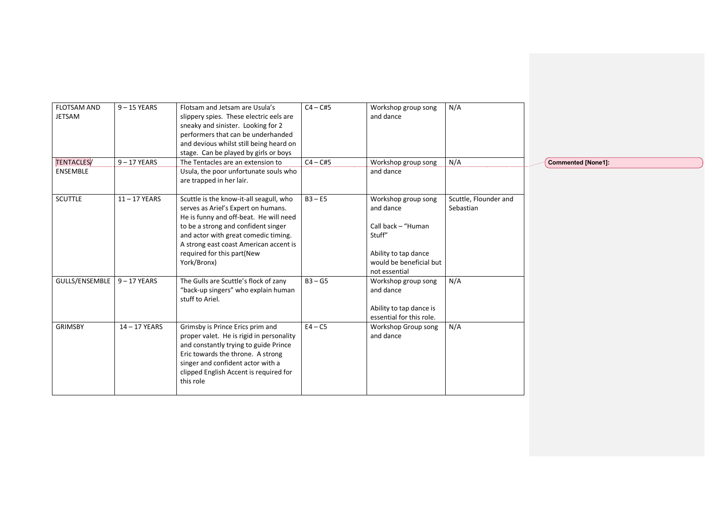| <b>FLOTSAM AND</b><br><b>JETSAM</b> | $9 - 15$ YEARS  | Flotsam and Jetsam are Usula's<br>slippery spies. These electric eels are<br>sneaky and sinister. Looking for 2<br>performers that can be underhanded<br>and devious whilst still being heard on<br>stage. Can be played by girls or boys                                                      | $C4 - C#5$ | Workshop group song<br>and dance                                                                                                     | N/A                                |                           |
|-------------------------------------|-----------------|------------------------------------------------------------------------------------------------------------------------------------------------------------------------------------------------------------------------------------------------------------------------------------------------|------------|--------------------------------------------------------------------------------------------------------------------------------------|------------------------------------|---------------------------|
| TENTACLES/<br><b>ENSEMBLE</b>       | $9 - 17$ YEARS  | The Tentacles are an extension to<br>Usula, the poor unfortunate souls who                                                                                                                                                                                                                     | $C4 - C#5$ | Workshop group song<br>and dance                                                                                                     | N/A                                | <b>Commented [None1]:</b> |
|                                     |                 | are trapped in her lair.                                                                                                                                                                                                                                                                       |            |                                                                                                                                      |                                    |                           |
| <b>SCUTTLE</b>                      | $11 - 17$ YEARS | Scuttle is the know-it-all seagull, who<br>serves as Ariel's Expert on humans.<br>He is funny and off-beat. He will need<br>to be a strong and confident singer<br>and actor with great comedic timing.<br>A strong east coast American accent is<br>required for this part(New<br>York/Bronx) | $B3 - E5$  | Workshop group song<br>and dance<br>Call back - "Human<br>Stuff"<br>Ability to tap dance<br>would be beneficial but<br>not essential | Scuttle, Flounder and<br>Sebastian |                           |
| GULLS/ENSEMBLE                      | $9 - 17$ YEARS  | The Gulls are Scuttle's flock of zany<br>"back-up singers" who explain human<br>stuff to Ariel.                                                                                                                                                                                                | $B3 - G5$  | Workshop group song<br>and dance<br>Ability to tap dance is<br>essential for this role.                                              | N/A                                |                           |
| <b>GRIMSBY</b>                      | 14-17 YEARS     | Grimsby is Prince Erics prim and<br>proper valet. He is rigid in personality<br>and constantly trying to guide Prince<br>Eric towards the throne. A strong<br>singer and confident actor with a<br>clipped English Accent is required for<br>this role                                         | $E4 - C5$  | Workshop Group song<br>and dance                                                                                                     | N/A                                |                           |